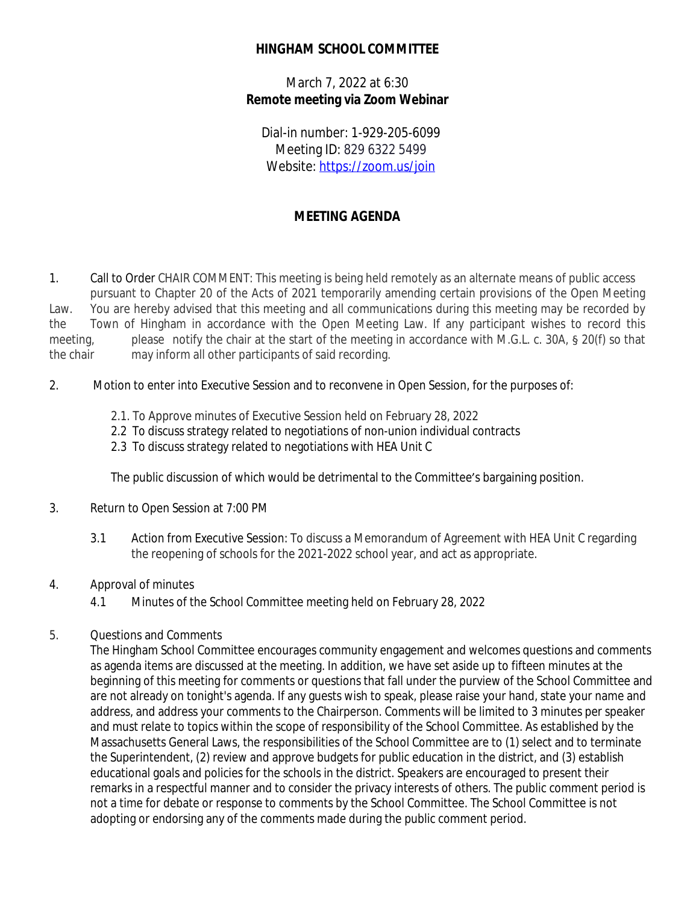## **HINGHAM SCHOOL COMMITTEE**

March 7, 2022 at 6:30 **Remote meeting via Zoom Webinar**

Dial-in number: 1-929-205-6099 Meeting ID: 829 6322 5499 Website: <https://zoom.us/join>

# **MEETING AGENDA**

1. Call to Order CHAIR COMMENT: This meeting is being held remotely as an alternate means of public access pursuant to Chapter 20 of the Acts of 2021 temporarily amending certain provisions of the Open Meeting Law. You are hereby advised that this meeting and all communications during this meeting may be recorded by the Town of Hingham in accordance with the Open Meeting Law. If any participant wishes to record this meeting, please notify the chair at the start of the meeting in accordance with M.G.L. c. 30A, § 20(f) so that the chair may inform all other participants of said recording.

- 2. Motion to enter into Executive Session and to reconvene in Open Session, for the purposes of:
	- 2.1. To Approve minutes of Executive Session held on February 28, 2022
	- 2.2 To discuss strategy related to negotiations of non-union individual contracts
	- 2.3 To discuss strategy related to negotiations with HEA Unit C

The public discussion of which would be detrimental to the Committee's bargaining position.

- 3. Return to Open Session at 7:00 PM
	- 3.1 Action from Executive Session: To discuss a Memorandum of Agreement with HEA Unit C regarding the reopening of schools for the 2021-2022 school year, and act as appropriate.

#### 4. Approval of minutes

4.1 Minutes of the School Committee meeting held on February 28, 2022

#### 5. Questions and Comments

The Hingham School Committee encourages community engagement and welcomes questions and comments as agenda items are discussed at the meeting. In addition, we have set aside up to fifteen minutes at the beginning of this meeting for comments or questions that fall under the purview of the School Committee and are not already on tonight's agenda. If any guests wish to speak, please raise your hand, state your name and address, and address your comments to the Chairperson. Comments will be limited to 3 minutes per speaker and must relate to topics within the scope of responsibility of the School Committee. As established by the Massachusetts General Laws, the responsibilities of the School Committee are to (1) select and to terminate the Superintendent, (2) review and approve budgets for public education in the district, and (3) establish educational goals and policies for the schools in the district. Speakers are encouraged to present their remarks in a respectful manner and to consider the privacy interests of others. The public comment period is not a time for debate or response to comments by the School Committee. The School Committee is not adopting or endorsing any of the comments made during the public comment period.